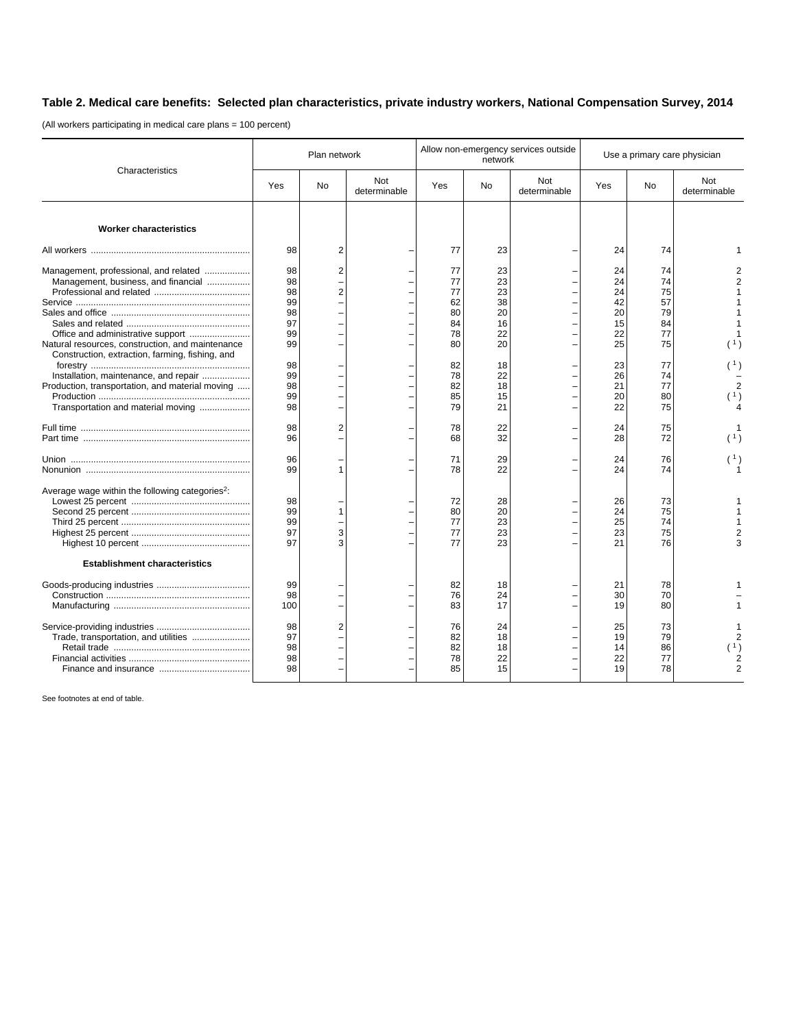## **Table 2. Medical care benefits: Selected plan characteristics, private industry workers, National Compensation Survey, 2014**

(All workers participating in medical care plans = 100 percent)

| Characteristics                                                                                                                                                                     | Plan network                                 |                                  |                     | Allow non-emergency services outside<br>network |                                              |                     | Use a primary care physician                 |                                              |                                                                            |
|-------------------------------------------------------------------------------------------------------------------------------------------------------------------------------------|----------------------------------------------|----------------------------------|---------------------|-------------------------------------------------|----------------------------------------------|---------------------|----------------------------------------------|----------------------------------------------|----------------------------------------------------------------------------|
|                                                                                                                                                                                     | Yes                                          | <b>No</b>                        | Not<br>determinable | Yes                                             | <b>No</b>                                    | Not<br>determinable | Yes                                          | <b>No</b>                                    | Not<br>determinable                                                        |
| <b>Worker characteristics</b>                                                                                                                                                       |                                              |                                  |                     |                                                 |                                              |                     |                                              |                                              |                                                                            |
|                                                                                                                                                                                     | 98                                           | $\overline{2}$                   |                     | 77                                              | 23                                           |                     | 24                                           | 74                                           |                                                                            |
| Management, professional, and related<br>Management, business, and financial<br>Natural resources, construction, and maintenance<br>Construction, extraction, farming, fishing, and | 98<br>98<br>98<br>99<br>98<br>97<br>99<br>99 | $\overline{2}$<br>$\overline{c}$ |                     | 77<br>77<br>77<br>62<br>80<br>84<br>78<br>80    | 23<br>23<br>23<br>38<br>20<br>16<br>22<br>20 |                     | 24<br>24<br>24<br>42<br>20<br>15<br>22<br>25 | 74<br>74<br>75<br>57<br>79<br>84<br>77<br>75 | 2<br>$\overline{2}$                                                        |
| Installation, maintenance, and repair<br>Production, transportation, and material moving<br>Transportation and material moving                                                      | 98<br>99<br>98<br>99<br>98                   |                                  |                     | 82<br>78<br>82<br>85<br>79                      | 18<br>22<br>18<br>15<br>21                   |                     | 23<br>26<br>21<br>20<br>22                   | 77<br>74<br>77<br>80<br>75                   | (1)<br>$\overline{2}$<br>(1)                                               |
|                                                                                                                                                                                     | 98<br>96                                     | $\overline{2}$                   |                     | 78<br>68                                        | 22<br>32                                     |                     | 24<br>28                                     | 75<br>72                                     | (1)                                                                        |
|                                                                                                                                                                                     | 96<br>99                                     |                                  |                     | 71<br>78                                        | 29<br>22                                     |                     | 24<br>24                                     | 76<br>74                                     | (1)                                                                        |
| Average wage within the following categories <sup>2</sup> :                                                                                                                         | 98<br>99<br>99<br>97<br>97                   | 1<br>3<br>3                      |                     | 72<br>80<br>77<br>77<br>77                      | 28<br>20<br>23<br>23<br>23                   |                     | 26<br>24<br>25<br>23<br>21                   | 73<br>75<br>74<br>75<br>76                   | $\overline{\mathbf{c}}$<br>3                                               |
| <b>Establishment characteristics</b>                                                                                                                                                |                                              |                                  |                     |                                                 |                                              |                     |                                              |                                              |                                                                            |
|                                                                                                                                                                                     | 99<br>98<br>100                              |                                  |                     | 82<br>76<br>83                                  | 18<br>24<br>17                               |                     | 21<br>30<br>19                               | 78<br>70<br>80                               |                                                                            |
| Trade, transportation, and utilities                                                                                                                                                | 98<br>97<br>98<br>98<br>98                   | $\overline{2}$                   |                     | 76<br>82<br>82<br>78<br>85                      | 24<br>18<br>18<br>22<br>15                   |                     | 25<br>19<br>14<br>22<br>19                   | 73<br>79<br>86<br>77<br>78                   | $\overline{c}$<br>$\begin{pmatrix} 1 \\ 2 \end{pmatrix}$<br>$\overline{2}$ |

See footnotes at end of table.